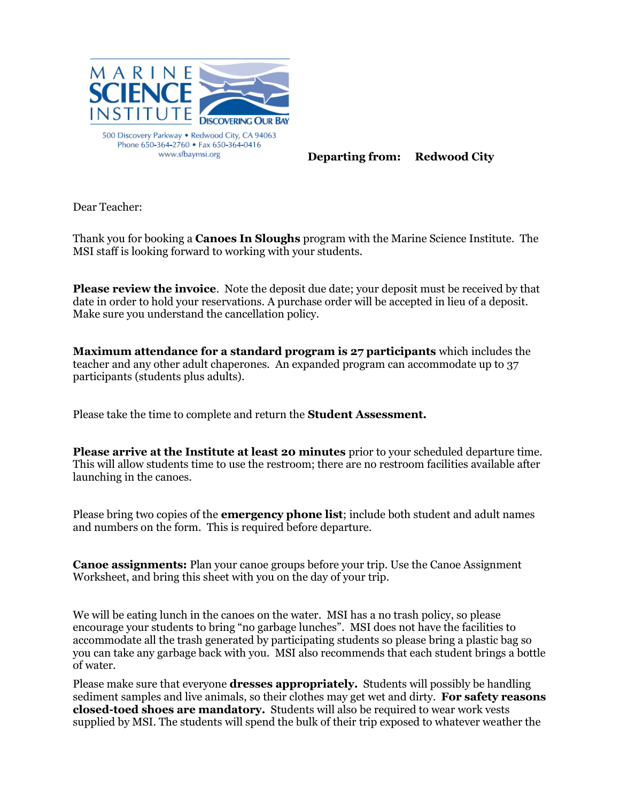

**Departing from: Redwood City**

Dear Teacher:

Thank you for booking a **Canoes In Sloughs** program with the Marine Science Institute. The MSI staff is looking forward to working with your students.

**Please review the invoice**. Note the deposit due date; your deposit must be received by that date in order to hold your reservations. A purchase order will be accepted in lieu of a deposit. Make sure you understand the cancellation policy.

**Maximum attendance for a standard program is 27 participants** which includes the teacher and any other adult chaperones. An expanded program can accommodate up to 37 participants (students plus adults).

Please take the time to complete and return the **Student Assessment.**

**Please arrive at the Institute at least 20 minutes** prior to your scheduled departure time. This will allow students time to use the restroom; there are no restroom facilities available after launching in the canoes.

Please bring two copies of the **emergency phone list**; include both student and adult names and numbers on the form. This is required before departure.

**Canoe assignments:** Plan your canoe groups before your trip. Use the Canoe Assignment Worksheet, and bring this sheet with you on the day of your trip.

We will be eating lunch in the canoes on the water. MSI has a no trash policy, so please encourage your students to bring "no garbage lunches". MSI does not have the facilities to accommodate all the trash generated by participating students so please bring a plastic bag so you can take any garbage back with you. MSI also recommends that each student brings a bottle of water.

Please make sure that everyone **dresses appropriately.** Students will possibly be handling sediment samples and live animals, so their clothes may get wet and dirty. **For safety reasons closed-toed shoes are mandatory.** Students will also be required to wear work vests supplied by MSI. The students will spend the bulk of their trip exposed to whatever weather the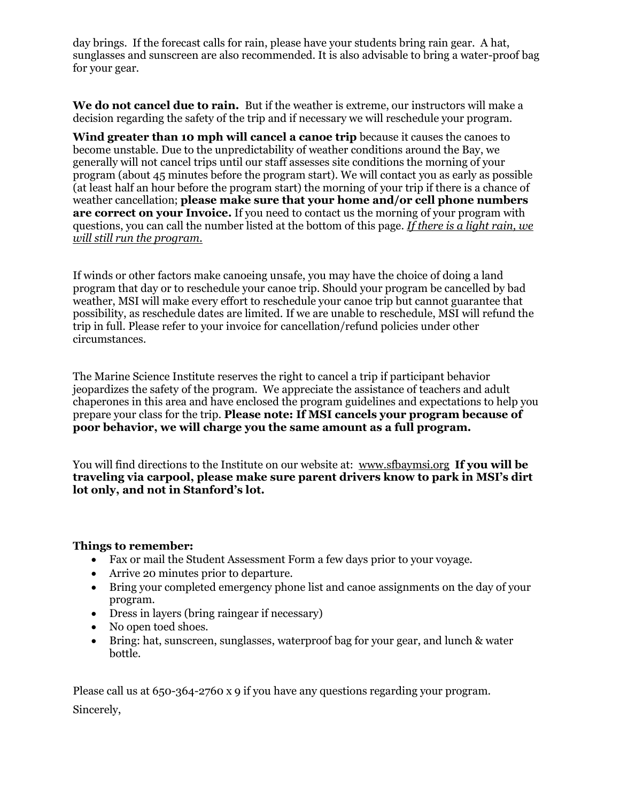day brings. If the forecast calls for rain, please have your students bring rain gear. A hat, sunglasses and sunscreen are also recommended. It is also advisable to bring a water-proof bag for your gear.

**We do not cancel due to rain.** But if the weather is extreme, our instructors will make a decision regarding the safety of the trip and if necessary we will reschedule your program.

**Wind greater than 10 mph will cancel a canoe trip** because it causes the canoes to become unstable. Due to the unpredictability of weather conditions around the Bay, we generally will not cancel trips until our staff assesses site conditions the morning of your program (about 45 minutes before the program start). We will contact you as early as possible (at least half an hour before the program start) the morning of your trip if there is a chance of weather cancellation; **please make sure that your home and/or cell phone numbers are correct on your Invoice.** If you need to contact us the morning of your program with questions, you can call the number listed at the bottom of this page. *If there is a light rain, we will still run the program.* 

If winds or other factors make canoeing unsafe, you may have the choice of doing a land program that day or to reschedule your canoe trip. Should your program be cancelled by bad weather, MSI will make every effort to reschedule your canoe trip but cannot guarantee that possibility, as reschedule dates are limited. If we are unable to reschedule, MSI will refund the trip in full. Please refer to your invoice for cancellation/refund policies under other circumstances.

The Marine Science Institute reserves the right to cancel a trip if participant behavior jeopardizes the safety of the program. We appreciate the assistance of teachers and adult chaperones in this area and have enclosed the program guidelines and expectations to help you prepare your class for the trip. **Please note: If MSI cancels your program because of poor behavior, we will charge you the same amount as a full program.**

You will find directions to the Institute on our website at: [www.sfbaymsi.org](http://www.sfbaymsi.org/) **If you will be traveling via carpool, please make sure parent drivers know to park in MSI's dirt lot only, and not in Stanford's lot.**

## **Things to remember:**

- Fax or mail the Student Assessment Form a few days prior to your voyage.
- Arrive 20 minutes prior to departure.
- Bring your completed emergency phone list and canoe assignments on the day of your program.
- Dress in layers (bring raingear if necessary)
- No open toed shoes.
- Bring: hat, sunscreen, sunglasses, waterproof bag for your gear, and lunch & water bottle.

Please call us at 650-364-2760 x 9 if you have any questions regarding your program. Sincerely,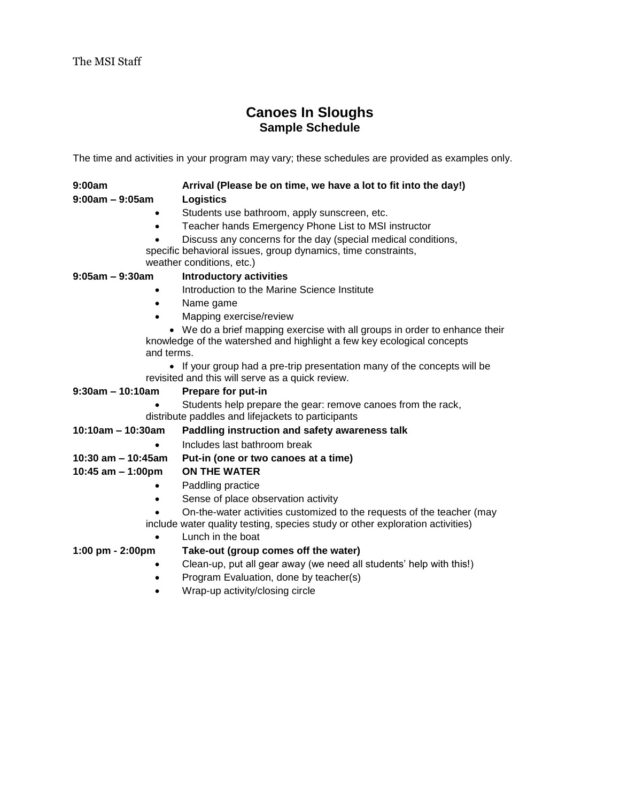# **Canoes In Sloughs Sample Schedule**

The time and activities in your program may vary; these schedules are provided as examples only.

| 9:00am            | Arrival (Please be on time, we have a lot to fit into the day!) |
|-------------------|-----------------------------------------------------------------|
| $9:00am - 9:05am$ | <b>Logistics</b>                                                |

- Students use bathroom, apply sunscreen, etc.
- Teacher hands Emergency Phone List to MSI instructor
- Discuss any concerns for the day (special medical conditions,

specific behavioral issues, group dynamics, time constraints, weather conditions, etc.)

### **9:05am – 9:30am Introductory activities**

- Introduction to the Marine Science Institute
- Name game
- Mapping exercise/review

 We do a brief mapping exercise with all groups in order to enhance their knowledge of the watershed and highlight a few key ecological concepts and terms.

• If your group had a pre-trip presentation many of the concepts will be revisited and this will serve as a quick review.

| $9:30am - 10:10am$                                 | Prepare for put-in                                                                                                                                      |
|----------------------------------------------------|---------------------------------------------------------------------------------------------------------------------------------------------------------|
|                                                    | Students help prepare the gear: remove canoes from the rack,                                                                                            |
| distribute paddles and lifejackets to participants |                                                                                                                                                         |
| $10:10$ am – 10:30am                               | Paddling instruction and safety awareness talk                                                                                                          |
| ٠                                                  | Includes last bathroom break                                                                                                                            |
| 10:30 am $-$ 10:45am                               | Put-in (one or two canoes at a time)                                                                                                                    |
| 10:45 am $-$ 1:00pm                                | <b>ON THE WATER</b>                                                                                                                                     |
| ٠                                                  | Paddling practice                                                                                                                                       |
| $\bullet$                                          | Sense of place observation activity                                                                                                                     |
|                                                    | On-the-water activities customized to the requests of the teacher (may<br>include water quality testing, species study or other exploration activities) |
|                                                    | Lunch in the boat                                                                                                                                       |
| $1:00 \text{ pm} - 2:00 \text{pm}$                 | Take-out (group comes off the water)                                                                                                                    |
|                                                    | Clean-up, put all gear away (we need all students' help with this!)                                                                                     |

- Program Evaluation, done by teacher(s)
- Wrap-up activity/closing circle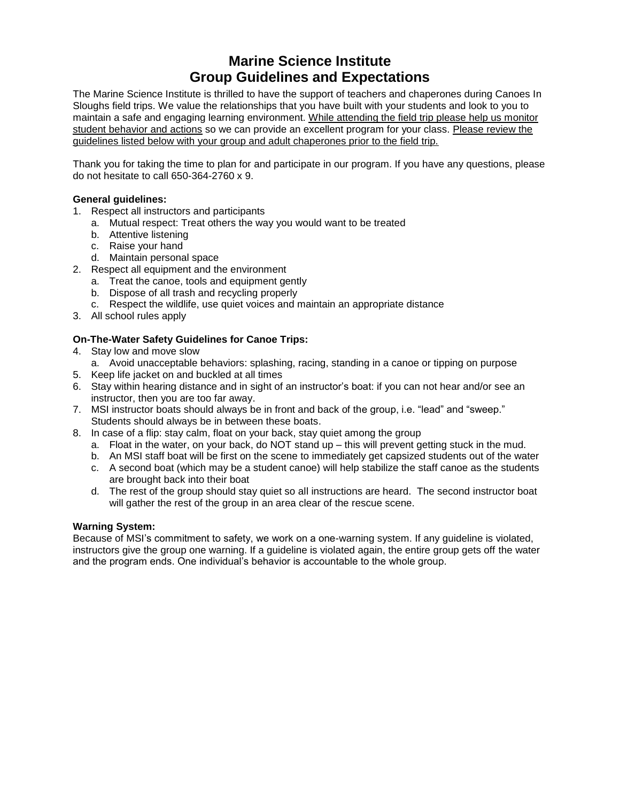# **Marine Science Institute Group Guidelines and Expectations**

The Marine Science Institute is thrilled to have the support of teachers and chaperones during Canoes In Sloughs field trips. We value the relationships that you have built with your students and look to you to maintain a safe and engaging learning environment. While attending the field trip please help us monitor student behavior and actions so we can provide an excellent program for your class. Please review the guidelines listed below with your group and adult chaperones prior to the field trip.

Thank you for taking the time to plan for and participate in our program. If you have any questions, please do not hesitate to call 650-364-2760 x 9.

#### **General guidelines:**

- 1. Respect all instructors and participants
	- a. Mutual respect: Treat others the way you would want to be treated
	- b. Attentive listening
	- c. Raise your hand
	- d. Maintain personal space
- 2. Respect all equipment and the environment
	- a. Treat the canoe, tools and equipment gently
	- b. Dispose of all trash and recycling properly
	- c. Respect the wildlife, use quiet voices and maintain an appropriate distance
- 3. All school rules apply

#### **On-The-Water Safety Guidelines for Canoe Trips:**

- 4. Stay low and move slow
	- a. Avoid unacceptable behaviors: splashing, racing, standing in a canoe or tipping on purpose
- 5. Keep life jacket on and buckled at all times
- 6. Stay within hearing distance and in sight of an instructor's boat: if you can not hear and/or see an instructor, then you are too far away.
- 7. MSI instructor boats should always be in front and back of the group, i.e. "lead" and "sweep." Students should always be in between these boats.
- 8. In case of a flip: stay calm, float on your back, stay quiet among the group
	- a. Float in the water, on your back, do NOT stand up this will prevent getting stuck in the mud.
	- b. An MSI staff boat will be first on the scene to immediately get capsized students out of the water
	- c. A second boat (which may be a student canoe) will help stabilize the staff canoe as the students are brought back into their boat
	- d. The rest of the group should stay quiet so all instructions are heard. The second instructor boat will gather the rest of the group in an area clear of the rescue scene.

#### **Warning System:**

Because of MSI's commitment to safety, we work on a one-warning system. If any guideline is violated, instructors give the group one warning. If a guideline is violated again, the entire group gets off the water and the program ends. One individual's behavior is accountable to the whole group.